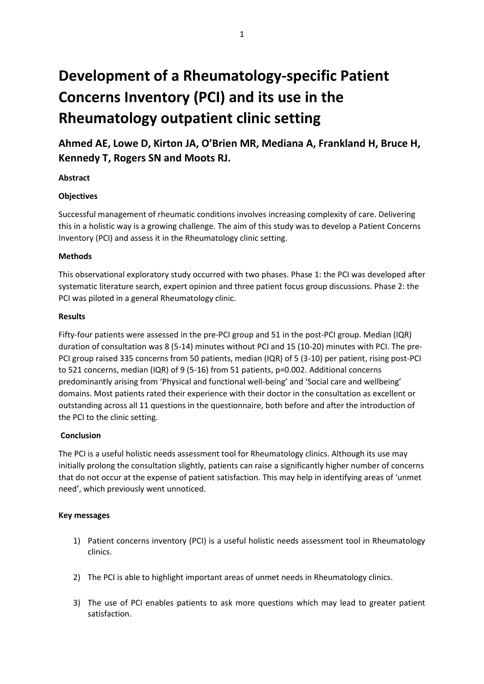# **Development of a Rheumatology-specific Patient Concerns Inventory (PCI) and its use in the Rheumatology outpatient clinic setting**

**Ahmed AE, Lowe D, Kirton JA, O'Brien MR, Mediana A, Frankland H, Bruce H, Kennedy T, Rogers SN and Moots RJ.**

### **Abstract**

#### **Objectives**

Successful management of rheumatic conditions involves increasing complexity of care. Delivering this in a holistic way is a growing challenge. The aim of this study was to develop a Patient Concerns Inventory (PCI) and assess it in the Rheumatology clinic setting.

### **Methods**

This observational exploratory study occurred with two phases. Phase 1: the PCI was developed after systematic literature search, expert opinion and three patient focus group discussions. Phase 2: the PCI was piloted in a general Rheumatology clinic.

#### **Results**

Fifty-four patients were assessed in the pre-PCI group and 51 in the post-PCI group. Median (IQR) duration of consultation was 8 (5-14) minutes without PCI and 15 (10-20) minutes with PCI. The pre-PCI group raised 335 concerns from 50 patients, median (IQR) of 5 (3-10) per patient, rising post-PCI to 521 concerns, median (IQR) of 9 (5-16) from 51 patients, p=0.002. Additional concerns predominantly arising from 'Physical and functional well-being' and 'Social care and wellbeing' domains. Most patients rated their experience with their doctor in the consultation as excellent or outstanding across all 11 questions in the questionnaire, both before and after the introduction of the PCI to the clinic setting.

# **Conclusion**

The PCI is a useful holistic needs assessment tool for Rheumatology clinics. Although its use may initially prolong the consultation slightly, patients can raise a significantly higher number of concerns that do not occur at the expense of patient satisfaction. This may help in identifying areas of 'unmet need', which previously went unnoticed.

#### **Key messages**

- 1) Patient concerns inventory (PCI) is a useful holistic needs assessment tool in Rheumatology clinics.
- 2) The PCI is able to highlight important areas of unmet needs in Rheumatology clinics.
- 3) The use of PCI enables patients to ask more questions which may lead to greater patient satisfaction.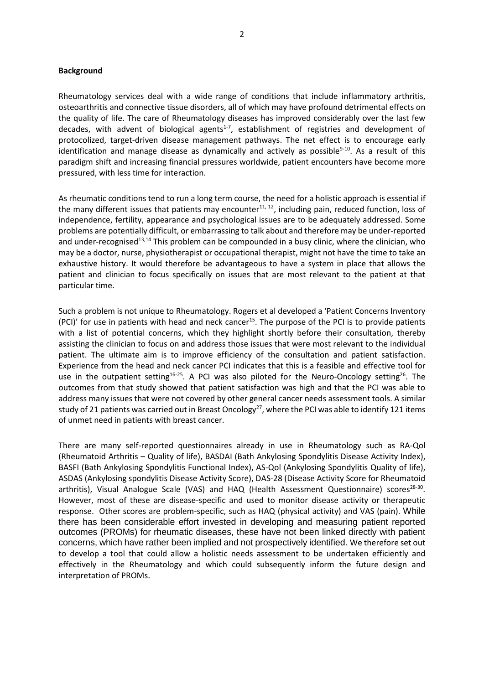#### **Background**

Rheumatology services deal with a wide range of conditions that include inflammatory arthritis, osteoarthritis and connective tissue disorders, all of which may have profound detrimental effects on the quality of life. The care of Rheumatology diseases has improved considerably over the last few decades, with advent of biological agents<sup>1-7</sup>, establishment of registries and development of protocolized, target-driven disease management pathways. The net effect is to encourage early identification and manage disease as dynamically and actively as possible<sup>9-10</sup>. As a result of this paradigm shift and increasing financial pressures worldwide, patient encounters have become more pressured, with less time for interaction.

As rheumatic conditions tend to run a long term course, the need for a holistic approach is essential if the many different issues that patients may encounter<sup>11, 12</sup>, including pain, reduced function, loss of independence, fertility, appearance and psychological issues are to be adequately addressed. Some problems are potentially difficult, or embarrassing to talk about and therefore may be under-reported and under-recognised<sup>13,14</sup> This problem can be compounded in a busy clinic, where the clinician, who may be a doctor, nurse, physiotherapist or occupational therapist, might not have the time to take an exhaustive history. It would therefore be advantageous to have a system in place that allows the patient and clinician to focus specifically on issues that are most relevant to the patient at that particular time.

Such a problem is not unique to Rheumatology. Rogers et al developed a 'Patient Concerns Inventory (PCI)' for use in patients with head and neck cancer<sup>15</sup>. The purpose of the PCI is to provide patients with a list of potential concerns, which they highlight shortly before their consultation, thereby assisting the clinician to focus on and address those issues that were most relevant to the individual patient. The ultimate aim is to improve efficiency of the consultation and patient satisfaction. Experience from the head and neck cancer PCI indicates that this is a feasible and effective tool for use in the outpatient setting<sup>16-25</sup>. A PCI was also piloted for the Neuro-Oncology setting<sup>26</sup>. The outcomes from that study showed that patient satisfaction was high and that the PCI was able to address many issues that were not covered by other general cancer needs assessment tools. A similar study of 21 patients was carried out in Breast Oncology<sup>27</sup>, where the PCI was able to identify 121 items of unmet need in patients with breast cancer.

There are many self-reported questionnaires already in use in Rheumatology such as RA-Qol (Rheumatoid Arthritis – Quality of life), BASDAI (Bath Ankylosing Spondylitis Disease Activity Index), BASFI (Bath Ankylosing Spondylitis Functional Index), AS-Qol (Ankylosing Spondylitis Quality of life), ASDAS (Ankylosing spondylitis Disease Activity Score), DAS-28 (Disease Activity Score for Rheumatoid arthritis), Visual Analogue Scale (VAS) and HAQ (Health Assessment Questionnaire) scores<sup>28-30</sup>. However, most of these are disease-specific and used to monitor disease activity or therapeutic response. Other scores are problem-specific, such as HAQ (physical activity) and VAS (pain). While there has been considerable effort invested in developing and measuring patient reported outcomes (PROMs) for rheumatic diseases, these have not been linked directly with patient concerns, which have rather been implied and not prospectively identified. We therefore set out to develop a tool that could allow a holistic needs assessment to be undertaken efficiently and effectively in the Rheumatology and which could subsequently inform the future design and interpretation of PROMs.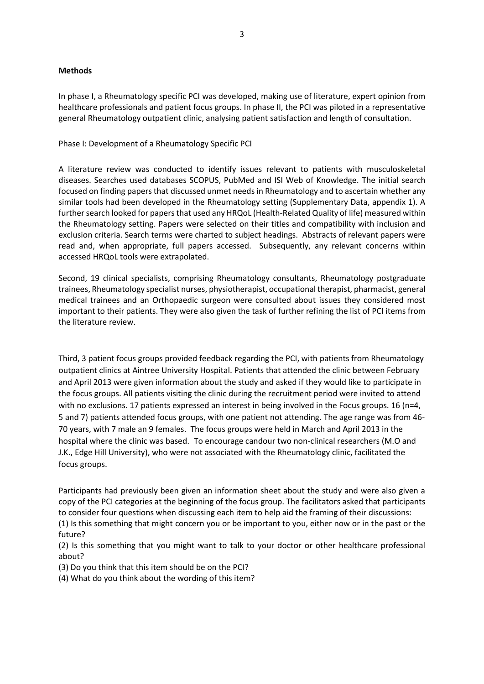#### **Methods**

In phase I, a Rheumatology specific PCI was developed, making use of literature, expert opinion from healthcare professionals and patient focus groups. In phase II, the PCI was piloted in a representative general Rheumatology outpatient clinic, analysing patient satisfaction and length of consultation.

#### Phase I: Development of a Rheumatology Specific PCI

A literature review was conducted to identify issues relevant to patients with musculoskeletal diseases. Searches used databases SCOPUS, PubMed and ISI Web of Knowledge. The initial search focused on finding papers that discussed unmet needs in Rheumatology and to ascertain whether any similar tools had been developed in the Rheumatology setting (Supplementary Data, appendix 1). A further search looked for papers that used any HRQoL (Health-Related Quality of life) measured within the Rheumatology setting. Papers were selected on their titles and compatibility with inclusion and exclusion criteria. Search terms were charted to subject headings. Abstracts of relevant papers were read and, when appropriate, full papers accessed. Subsequently, any relevant concerns within accessed HRQoL tools were extrapolated.

Second, 19 clinical specialists, comprising Rheumatology consultants, Rheumatology postgraduate trainees, Rheumatology specialist nurses, physiotherapist, occupational therapist, pharmacist, general medical trainees and an Orthopaedic surgeon were consulted about issues they considered most important to their patients. They were also given the task of further refining the list of PCI items from the literature review.

Third, 3 patient focus groups provided feedback regarding the PCI, with patients from Rheumatology outpatient clinics at Aintree University Hospital. Patients that attended the clinic between February and April 2013 were given information about the study and asked if they would like to participate in the focus groups. All patients visiting the clinic during the recruitment period were invited to attend with no exclusions. 17 patients expressed an interest in being involved in the Focus groups. 16 (n=4, 5 and 7) patients attended focus groups, with one patient not attending. The age range was from 46- 70 years, with 7 male an 9 females. The focus groups were held in March and April 2013 in the hospital where the clinic was based. To encourage candour two non-clinical researchers (M.O and J.K., Edge Hill University), who were not associated with the Rheumatology clinic, facilitated the focus groups.

Participants had previously been given an information sheet about the study and were also given a copy of the PCI categories at the beginning of the focus group. The facilitators asked that participants to consider four questions when discussing each item to help aid the framing of their discussions: (1) Is this something that might concern you or be important to you, either now or in the past or the future?

(2) Is this something that you might want to talk to your doctor or other healthcare professional about?

(3) Do you think that this item should be on the PCI?

(4) What do you think about the wording of this item?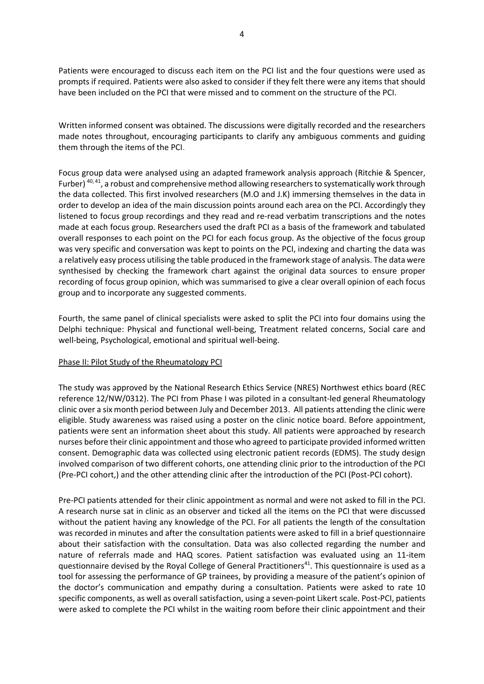Patients were encouraged to discuss each item on the PCI list and the four questions were used as prompts if required. Patients were also asked to consider if they felt there were any items that should have been included on the PCI that were missed and to comment on the structure of the PCI.

Written informed consent was obtained. The discussions were digitally recorded and the researchers made notes throughout, encouraging participants to clarify any ambiguous comments and guiding them through the items of the PCI.

Focus group data were analysed using an adapted framework analysis approach (Ritchie & Spencer, Furber)<sup>40,41</sup>, a robust and comprehensive method allowing researchers to systematically work through the data collected. This first involved researchers (M.O and J.K) immersing themselves in the data in order to develop an idea of the main discussion points around each area on the PCI. Accordingly they listened to focus group recordings and they read and re-read verbatim transcriptions and the notes made at each focus group. Researchers used the draft PCI as a basis of the framework and tabulated overall responses to each point on the PCI for each focus group. As the objective of the focus group was very specific and conversation was kept to points on the PCI, indexing and charting the data was a relatively easy process utilising the table produced in the framework stage of analysis. The data were synthesised by checking the framework chart against the original data sources to ensure proper recording of focus group opinion, which was summarised to give a clear overall opinion of each focus group and to incorporate any suggested comments.

Fourth, the same panel of clinical specialists were asked to split the PCI into four domains using the Delphi technique: Physical and functional well-being, Treatment related concerns, Social care and well-being, Psychological, emotional and spiritual well-being.

#### Phase II: Pilot Study of the Rheumatology PCI

The study was approved by the National Research Ethics Service (NRES) Northwest ethics board (REC reference 12/NW/0312). The PCI from Phase I was piloted in a consultant-led general Rheumatology clinic over a six month period between July and December 2013. All patients attending the clinic were eligible. Study awareness was raised using a poster on the clinic notice board. Before appointment, patients were sent an information sheet about this study. All patients were approached by research nurses before their clinic appointment and those who agreed to participate provided informed written consent. Demographic data was collected using electronic patient records (EDMS). The study design involved comparison of two different cohorts, one attending clinic prior to the introduction of the PCI (Pre-PCI cohort,) and the other attending clinic after the introduction of the PCI (Post-PCI cohort).

Pre-PCI patients attended for their clinic appointment as normal and were not asked to fill in the PCI. A research nurse sat in clinic as an observer and ticked all the items on the PCI that were discussed without the patient having any knowledge of the PCI. For all patients the length of the consultation was recorded in minutes and after the consultation patients were asked to fill in a brief questionnaire about their satisfaction with the consultation. Data was also collected regarding the number and nature of referrals made and HAQ scores. Patient satisfaction was evaluated using an 11-item questionnaire devised by the Royal College of General Practitioners<sup>41</sup>. This questionnaire is used as a tool for assessing the performance of GP trainees, by providing a measure of the patient's opinion of the doctor's communication and empathy during a consultation. Patients were asked to rate 10 specific components, as well as overall satisfaction, using a seven-point Likert scale. Post-PCI, patients were asked to complete the PCI whilst in the waiting room before their clinic appointment and their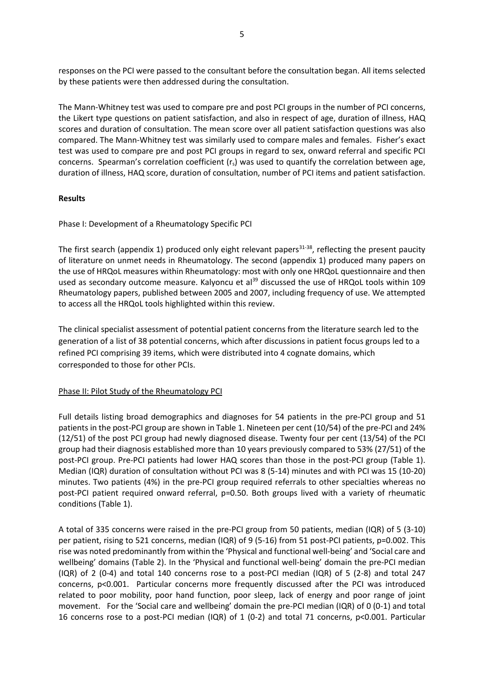responses on the PCI were passed to the consultant before the consultation began. All items selected by these patients were then addressed during the consultation.

The Mann-Whitney test was used to compare pre and post PCI groups in the number of PCI concerns, the Likert type questions on patient satisfaction, and also in respect of age, duration of illness, HAQ scores and duration of consultation. The mean score over all patient satisfaction questions was also compared. The Mann-Whitney test was similarly used to compare males and females. Fisher's exact test was used to compare pre and post PCI groups in regard to sex, onward referral and specific PCI concerns. Spearman's correlation coefficient  $(r_s)$  was used to quantify the correlation between age, duration of illness, HAQ score, duration of consultation, number of PCI items and patient satisfaction.

#### **Results**

Phase I: Development of a Rheumatology Specific PCI

The first search (appendix 1) produced only eight relevant papers<sup>31-38</sup>, reflecting the present paucity of literature on unmet needs in Rheumatology. The second (appendix 1) produced many papers on the use of HRQoL measures within Rheumatology: most with only one HRQoL questionnaire and then used as secondary outcome measure. Kalyoncu et al<sup>39</sup> discussed the use of HRQoL tools within 109 Rheumatology papers, published between 2005 and 2007, including frequency of use. We attempted to access all the HRQoL tools highlighted within this review.

The clinical specialist assessment of potential patient concerns from the literature search led to the generation of a list of 38 potential concerns, which after discussions in patient focus groups led to a refined PCI comprising 39 items, which were distributed into 4 cognate domains, which corresponded to those for other PCIs.

# Phase II: Pilot Study of the Rheumatology PCI

Full details listing broad demographics and diagnoses for 54 patients in the pre-PCI group and 51 patients in the post-PCI group are shown in Table 1. Nineteen per cent (10/54) of the pre-PCI and 24% (12/51) of the post PCI group had newly diagnosed disease. Twenty four per cent (13/54) of the PCI group had their diagnosis established more than 10 years previously compared to 53% (27/51) of the post-PCI group. Pre-PCI patients had lower HAQ scores than those in the post-PCI group (Table 1). Median (IQR) duration of consultation without PCI was 8 (5-14) minutes and with PCI was 15 (10-20) minutes. Two patients (4%) in the pre-PCI group required referrals to other specialties whereas no post-PCI patient required onward referral, p=0.50. Both groups lived with a variety of rheumatic conditions (Table 1).

A total of 335 concerns were raised in the pre-PCI group from 50 patients, median (IQR) of 5 (3-10) per patient, rising to 521 concerns, median (IQR) of 9 (5-16) from 51 post-PCI patients, p=0.002. This rise was noted predominantly from within the 'Physical and functional well-being' and 'Social care and wellbeing' domains (Table 2). In the 'Physical and functional well-being' domain the pre-PCI median (IQR) of 2 (0-4) and total 140 concerns rose to a post-PCI median (IQR) of 5 (2-8) and total 247 concerns, p<0.001. Particular concerns more frequently discussed after the PCI was introduced related to poor mobility, poor hand function, poor sleep, lack of energy and poor range of joint movement. For the 'Social care and wellbeing' domain the pre-PCI median (IQR) of 0 (0-1) and total 16 concerns rose to a post-PCI median (IQR) of 1 (0-2) and total 71 concerns, p<0.001. Particular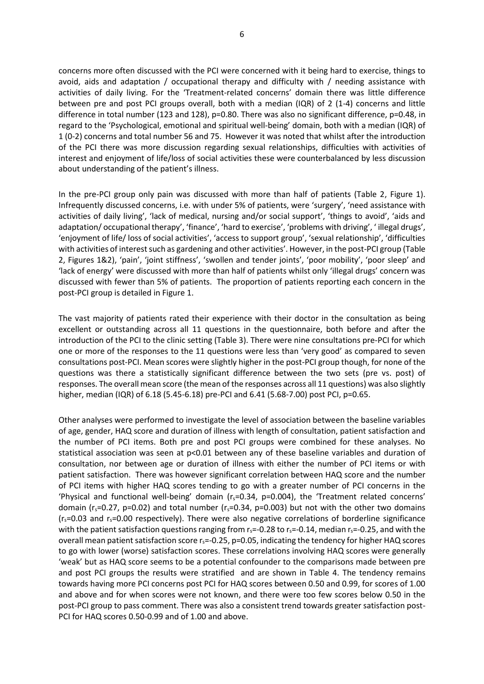concerns more often discussed with the PCI were concerned with it being hard to exercise, things to avoid, aids and adaptation / occupational therapy and difficulty with / needing assistance with activities of daily living. For the 'Treatment-related concerns' domain there was little difference between pre and post PCI groups overall, both with a median (IQR) of 2 (1-4) concerns and little difference in total number (123 and 128), p=0.80. There was also no significant difference, p=0.48, in regard to the 'Psychological, emotional and spiritual well-being' domain, both with a median (IQR) of 1 (0-2) concerns and total number 56 and 75. However it was noted that whilst after the introduction of the PCI there was more discussion regarding sexual relationships, difficulties with activities of interest and enjoyment of life/loss of social activities these were counterbalanced by less discussion about understanding of the patient's illness.

In the pre-PCI group only pain was discussed with more than half of patients (Table 2, Figure 1). Infrequently discussed concerns, i.e. with under 5% of patients, were 'surgery', 'need assistance with activities of daily living', 'lack of medical, nursing and/or social support', 'things to avoid', 'aids and adaptation/ occupational therapy', 'finance', 'hard to exercise', 'problems with driving', ' illegal drugs', 'enjoyment of life/ loss of social activities', 'access to support group', 'sexual relationship', 'difficulties with activities of interest such as gardening and other activities'. However, in the post-PCI group (Table 2, Figures 1&2), 'pain', 'joint stiffness', 'swollen and tender joints', 'poor mobility', 'poor sleep' and 'lack of energy' were discussed with more than half of patients whilst only 'illegal drugs' concern was discussed with fewer than 5% of patients. The proportion of patients reporting each concern in the post-PCI group is detailed in Figure 1.

The vast majority of patients rated their experience with their doctor in the consultation as being excellent or outstanding across all 11 questions in the questionnaire, both before and after the introduction of the PCI to the clinic setting (Table 3). There were nine consultations pre-PCI for which one or more of the responses to the 11 questions were less than 'very good' as compared to seven consultations post-PCI. Mean scores were slightly higher in the post-PCI group though, for none of the questions was there a statistically significant difference between the two sets (pre vs. post) of responses. The overall mean score (the mean of the responses across all 11 questions) was also slightly higher, median (IQR) of 6.18 (5.45-6.18) pre-PCI and 6.41 (5.68-7.00) post PCI, p=0.65.

Other analyses were performed to investigate the level of association between the baseline variables of age, gender, HAQ score and duration of illness with length of consultation, patient satisfaction and the number of PCI items. Both pre and post PCI groups were combined for these analyses. No statistical association was seen at p<0.01 between any of these baseline variables and duration of consultation, nor between age or duration of illness with either the number of PCI items or with patient satisfaction. There was however significant correlation between HAQ score and the number of PCI items with higher HAQ scores tending to go with a greater number of PCI concerns in the 'Physical and functional well-being' domain  $(r_s=0.34, p=0.004)$ , the 'Treatment related concerns' domain ( $r_s$ =0.27, p=0.02) and total number ( $r_s$ =0.34, p=0.003) but not with the other two domains  $(r_s=0.03$  and  $r_s=0.00$  respectively). There were also negative correlations of borderline significance with the patient satisfaction questions ranging from  $r_s$ =-0.28 to  $r_s$ =-0.14, median  $r_s$ =-0.25, and with the overall mean patient satisfaction score  $r_s$ =-0.25, p=0.05, indicating the tendency for higher HAQ scores to go with lower (worse) satisfaction scores. These correlations involving HAQ scores were generally 'weak' but as HAQ score seems to be a potential confounder to the comparisons made between pre and post PCI groups the results were stratified and are shown in Table 4. The tendency remains towards having more PCI concerns post PCI for HAQ scores between 0.50 and 0.99, for scores of 1.00 and above and for when scores were not known, and there were too few scores below 0.50 in the post-PCI group to pass comment. There was also a consistent trend towards greater satisfaction post-PCI for HAQ scores 0.50-0.99 and of 1.00 and above.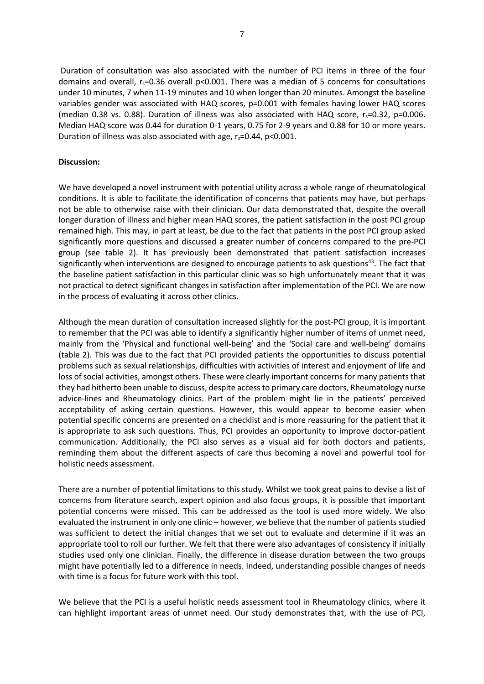Duration of consultation was also associated with the number of PCI items in three of the four domains and overall,  $r_s$ =0.36 overall p<0.001. There was a median of 5 concerns for consultations under 10 minutes, 7 when 11-19 minutes and 10 when longer than 20 minutes. Amongst the baseline variables gender was associated with HAQ scores, p=0.001 with females having lower HAQ scores (median 0.38 vs. 0.88). Duration of illness was also associated with HAQ score,  $r_s$ =0.32, p=0.006. Median HAQ score was 0.44 for duration 0-1 years, 0.75 for 2-9 years and 0.88 for 10 or more years. Duration of illness was also associated with age,  $r_s = 0.44$ ,  $p < 0.001$ .

#### **Discussion:**

We have developed a novel instrument with potential utility across a whole range of rheumatological conditions. It is able to facilitate the identification of concerns that patients may have, but perhaps not be able to otherwise raise with their clinician. Our data demonstrated that, despite the overall longer duration of illness and higher mean HAQ scores, the patient satisfaction in the post PCI group remained high. This may, in part at least, be due to the fact that patients in the post PCI group asked significantly more questions and discussed a greater number of concerns compared to the pre-PCI group (see table 2). It has previously been demonstrated that patient satisfaction increases significantly when interventions are designed to encourage patients to ask questions<sup>43</sup>. The fact that the baseline patient satisfaction in this particular clinic was so high unfortunately meant that it was not practical to detect significant changes in satisfaction after implementation of the PCI. We are now in the process of evaluating it across other clinics.

Although the mean duration of consultation increased slightly for the post-PCI group, it is important to remember that the PCI was able to identify a significantly higher number of items of unmet need, mainly from the 'Physical and functional well-being' and the 'Social care and well-being' domains (table 2). This was due to the fact that PCI provided patients the opportunities to discuss potential problems such as sexual relationships, difficulties with activities of interest and enjoyment of life and loss of social activities, amongst others. These were clearly important concerns for many patients that they had hitherto been unable to discuss, despite access to primary care doctors, Rheumatology nurse advice-lines and Rheumatology clinics. Part of the problem might lie in the patients' perceived acceptability of asking certain questions. However, this would appear to become easier when potential specific concerns are presented on a checklist and is more reassuring for the patient that it is appropriate to ask such questions. Thus, PCI provides an opportunity to improve doctor-patient communication. Additionally, the PCI also serves as a visual aid for both doctors and patients, reminding them about the different aspects of care thus becoming a novel and powerful tool for holistic needs assessment.

There are a number of potential limitations to this study. Whilst we took great pains to devise a list of concerns from literature search, expert opinion and also focus groups, it is possible that important potential concerns were missed. This can be addressed as the tool is used more widely. We also evaluated the instrument in only one clinic – however, we believe that the number of patients studied was sufficient to detect the initial changes that we set out to evaluate and determine if it was an appropriate tool to roll our further. We felt that there were also advantages of consistency if initially studies used only one clinician. Finally, the difference in disease duration between the two groups might have potentially led to a difference in needs. Indeed, understanding possible changes of needs with time is a focus for future work with this tool.

We believe that the PCI is a useful holistic needs assessment tool in Rheumatology clinics, where it can highlight important areas of unmet need. Our study demonstrates that, with the use of PCI,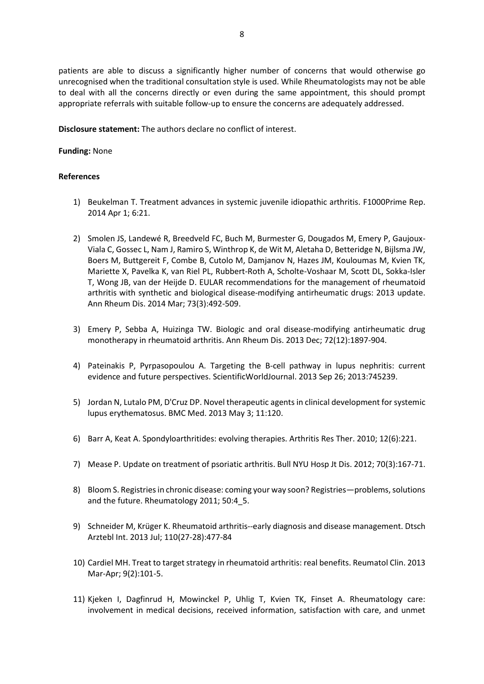patients are able to discuss a significantly higher number of concerns that would otherwise go unrecognised when the traditional consultation style is used. While Rheumatologists may not be able to deal with all the concerns directly or even during the same appointment, this should prompt appropriate referrals with suitable follow-up to ensure the concerns are adequately addressed.

**Disclosure statement:** The authors declare no conflict of interest.

#### **Funding:** None

#### **References**

- 1) Beukelman T. Treatment advances in systemic juvenile idiopathic arthritis. F1000Prime Rep. 2014 Apr 1; 6:21.
- 2) Smolen JS, Landewé R, Breedveld FC, Buch M, Burmester G, Dougados M, Emery P, Gaujoux-Viala C, Gossec L, Nam J, Ramiro S, Winthrop K, de Wit M, Aletaha D, Betteridge N, Bijlsma JW, Boers M, Buttgereit F, Combe B, Cutolo M, Damjanov N, Hazes JM, Kouloumas M, Kvien TK, Mariette X, Pavelka K, van Riel PL, Rubbert-Roth A, Scholte-Voshaar M, Scott DL, Sokka-Isler T, Wong JB, van der Heijde D. [EULAR recommendations for the management of rheumatoid](http://www.ncbi.nlm.nih.gov/pubmed/24161836)  arthritis with synthetic and biological [disease-modifying antirheumatic drugs: 2013 update.](http://www.ncbi.nlm.nih.gov/pubmed/24161836) Ann Rheum Dis. 2014 Mar; 73(3):492-509.
- 3) Emery P, Sebba A, Huizinga TW. Biologic [and oral disease-modifying antirheumatic drug](http://www.ncbi.nlm.nih.gov/pubmed/23918035)  [monotherapy in rheumatoid arthritis.](http://www.ncbi.nlm.nih.gov/pubmed/23918035) Ann Rheum Dis. 2013 Dec; 72(12):1897-904.
- 4) Pateinakis P, Pyrpasopoulou A. [Targeting the B-cell pathway in lupus](http://www.ncbi.nlm.nih.gov/pubmed/24191142) nephritis: current [evidence and future perspectives.](http://www.ncbi.nlm.nih.gov/pubmed/24191142) ScientificWorldJournal. 2013 Sep 26; 2013:745239.
- 5) Jordan N, Lutalo PM, D'Cruz DP. Novel therapeutic agents [in clinical development for systemic](http://www.ncbi.nlm.nih.gov/pubmed/23642011)  lupus [erythematosus.](http://www.ncbi.nlm.nih.gov/pubmed/23642011) BMC Med. 2013 May 3; 11:120.
- 6) Barr A, Keat A. [Spondyloarthritides: evolving therapies.](http://www.ncbi.nlm.nih.gov/pubmed/21205283) Arthritis Res Ther. 2010; 12(6):221.
- 7) Mease P. [Update on treatment of psoriatic arthritis.](http://www.ncbi.nlm.nih.gov/pubmed/23259623) Bull NYU Hosp Jt Dis. 2012; 70(3):167-71.
- 8) Bloom S. Registries in chronic disease: coming your way soon? Registries—problems, solutions and the future. Rheumatology 2011; 50:4 5.
- 9) Schneider M, Krüger K. [Rheumatoid arthritis--early diagnosis and disease management.](http://www.ncbi.nlm.nih.gov/pubmed/23964304) Dtsch Arztebl Int. 2013 Jul; 110(27-28):477-84
- 10) Cardiel MH. Treat to target strategy in rheumatoid arthritis: real benefits. Reumatol Clin. 2013 Mar-Apr; 9(2):101-5.
- 11) Kjeken I, Dagfinrud H, Mowinckel P, Uhlig T, Kvien TK, Finset A. Rheumatology care: involvement in medical decisions, received information, satisfaction with care, and unmet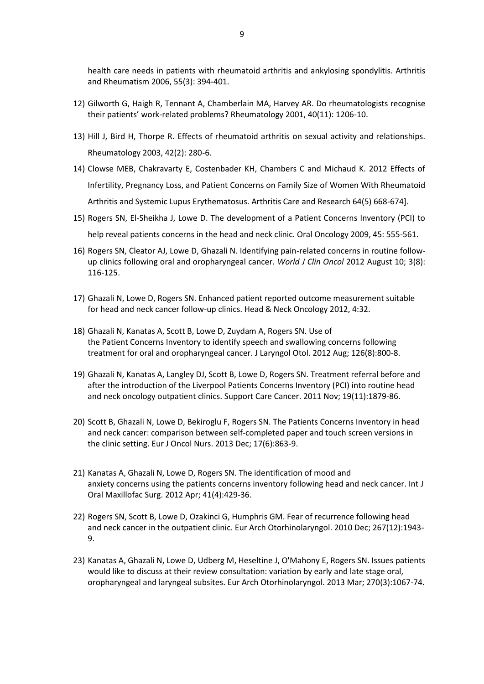health care needs in patients with rheumatoid arthritis and ankylosing spondylitis. Arthritis and Rheumatism 2006, 55(3): 394-401.

- 12) Gilworth G, Haigh R, Tennant A, Chamberlain MA, Harvey AR. Do rheumatologists recognise their patients' work-related problems? Rheumatology 2001, 40(11): 1206-10.
- 13) Hill J, Bird H, Thorpe R. Effects of rheumatoid arthritis on sexual activity and relationships. Rheumatology 2003, 42(2): 280-6.
- 14) Clowse MEB, Chakravarty E, Costenbader KH, Chambers C and Michaud K. 2012 Effects of Infertility, Pregnancy Loss, and Patient Concerns on Family Size of Women With Rheumatoid Arthritis and Systemic Lupus Erythematosus. Arthritis Care and Research 64(5) 668-674].
- 15) Rogers SN, El-Sheikha J, Lowe D. The development of a Patient Concerns Inventory (PCI) to help reveal patients concerns in the head and neck clinic. Oral Oncology 2009, 45: 555-561.
- 16) Rogers SN, Cleator AJ, Lowe D, Ghazali N. Identifying pain-related concerns in routine followup clinics following oral and oropharyngeal cancer. *World J Clin Oncol* 2012 August 10; 3(8): 116-125.
- 17) Ghazali N, Lowe D, Rogers SN. Enhanced patient reported outcome measurement suitable for head and neck cancer follow-up clinics. Head & Neck Oncology 2012, 4:32.
- 18) Ghazali N, Kanatas A, Scott B, Lowe D, Zuydam A, Rogers SN. Use of the Patient Concerns Inventory to identify speech and swallowing concerns following treatment for oral and oropharyngeal cancer[. J Laryngol](http://www.ncbi.nlm.nih.gov/pubmed/22698382) Otol. 2012 Aug; 126(8):800-8.
- 19) Ghazali N, Kanatas A, Langley DJ, Scott B, Lowe D, Rogers SN. Treatment referral before and after the introduction of the Liverpool Patients Concerns Inventory (PCI) into routine head and neck oncology outpatient clinics. [Support Care Cancer.](http://www.ncbi.nlm.nih.gov/pubmed/21725827) 2011 Nov; 19(11):1879-86.
- 20) Scott B, Ghazali N, Lowe D, Bekiroglu F, Rogers SN. The Patients Concerns Inventory in head and neck cancer: comparison between self-completed paper and touch screen versions in the clinic setting. [Eur J Oncol Nurs.](http://www.ncbi.nlm.nih.gov/pubmed/23732013) 2013 Dec; 17(6):863-9.
- 21) Kanatas A, Ghazali N, Lowe D, Rogers SN. The identification of mood and anxiety concerns using the patients concerns inventory following head and neck cancer[. Int J](http://www.ncbi.nlm.nih.gov/pubmed/22264641)  [Oral Maxillofac Surg.](http://www.ncbi.nlm.nih.gov/pubmed/22264641) 2012 Apr; 41(4):429-36.
- 22) Rogers SN, Scott B, Lowe D, Ozakinci G, Humphris GM. Fear of recurrence following head and neck cancer in the outpatient clinic. [Eur Arch Otorhinolaryngol.](http://www.ncbi.nlm.nih.gov/pubmed/20582704) 2010 Dec; 267(12):1943- 9.
- 23) Kanatas A, Ghazali N, Lowe D, Udberg M, Heseltine J, O'Mahony E, Rogers SN. Issues patients would like to discuss at their review consultation: variation by early and late stage oral, oropharyngeal and laryngeal subsites. [Eur Arch Otorhinolaryngol.](http://www.ncbi.nlm.nih.gov/pubmed/22743645) 2013 Mar; 270(3):1067-74.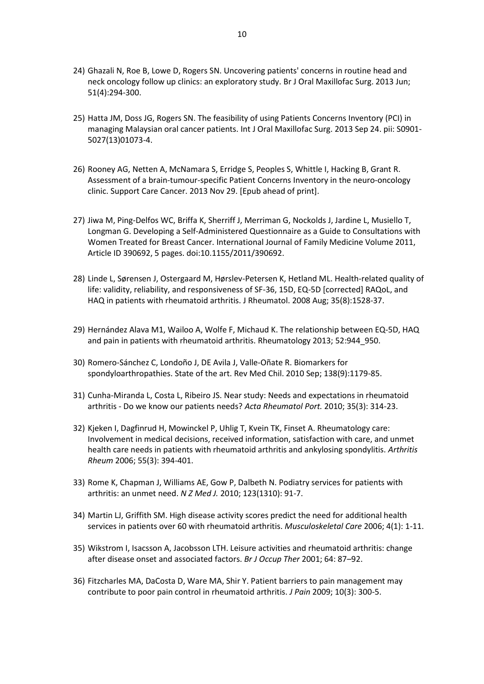- 24) Ghazali N, Roe B, Lowe D, Rogers SN. Uncovering patients' concerns in routine head and neck oncology follow up clinics: an exploratory study[. Br J Oral Maxillofac](http://www.ncbi.nlm.nih.gov/pubmed/22922097) Surg. 2013 Jun; 51(4):294-300.
- 25) Hatta JM, Doss JG, Rogers SN. The feasibility of using Patients Concerns Inventory (PCI) in managing Malaysian oral cancer patients. [Int J Oral Maxillofac Surg.](http://www.ncbi.nlm.nih.gov/pubmed/24074487) 2013 Sep 24. pii: S0901- 5027(13)01073-4.
- 26) Rooney AG, Netten A, McNamara S, Erridge S, Peoples S, Whittle I, Hacking B, Grant R. Assessment of a brain-tumour-specific Patient Concerns Inventory in the neuro-oncology clinic. [Support Care Cancer.](http://www.ncbi.nlm.nih.gov/pubmed/24292015) 2013 Nov 29. [Epub ahead of print].
- 27) Jiwa M, Ping-Delfos WC, Briffa K, Sherriff J, Merriman G, Nockolds J, Jardine L, Musiello T, Longman G. Developing a Self-Administered Questionnaire as a Guide to Consultations with Women Treated for Breast Cancer. International Journal of Family Medicine Volume 2011, Article ID 390692, 5 pages. doi:10.1155/2011/390692.
- 28) Linde L, Sørensen J, Ostergaard M, Hørslev-Petersen K, Hetland ML. Health-related quality of life: validity, reliability, and responsiveness of SF-36, 15D, EQ-5D [corrected] RAQoL, and HAQ in patients with rheumatoid arthritis. J [Rheumatol.](http://www.ncbi.nlm.nih.gov/pubmed/18484697) 2008 Aug; 35(8):1528-37.
- 29) Hernández Alava M1, Wailoo A, Wolfe F, Michaud K. The relationship between EQ-5D, HAQ and pain in patients with rheumatoid arthritis. Rheumatology 2013; 52:944\_950.
- 30) [Romero-Sánchez C,](http://www.ncbi.nlm.nih.gov/pubmed?term=Romero-S%C3%A1nchez%20C%5BAuthor%5D&cauthor=true&cauthor_uid=21249289) [Londoño J,](http://www.ncbi.nlm.nih.gov/pubmed?term=Londo%C3%B1o%20J%5BAuthor%5D&cauthor=true&cauthor_uid=21249289) [DE Avila J,](http://www.ncbi.nlm.nih.gov/pubmed?term=DE%20Avila%20J%5BAuthor%5D&cauthor=true&cauthor_uid=21249289) [Valle-Oñate R.](http://www.ncbi.nlm.nih.gov/pubmed?term=Valle-O%C3%B1ate%20R%5BAuthor%5D&cauthor=true&cauthor_uid=21249289) Biomarkers for spondyloarthropathies. State of the art. [Rev Med Chil.](http://www.ncbi.nlm.nih.gov/pubmed/?term=basdai) 2010 Sep; 138(9):1179-85.
- 31) Cunha-Miranda L, Costa L, Ribeiro JS. Near study: Needs and expectations in rheumatoid arthritis - Do we know our patients needs? *Acta Rheumatol Port.* 2010; 35(3): 314-23.
- 32) Kjeken I, Dagfinrud H, Mowinckel P, Uhlig T, Kvein TK, Finset A. Rheumatology care: Involvement in medical decisions, received information, satisfaction with care, and unmet health care needs in patients with rheumatoid arthritis and ankylosing spondylitis. *Arthritis Rheum* 2006; 55(3): 394-401.
- 33) Rome K, Chapman J, Williams AE, Gow P, Dalbeth N. Podiatry services for patients with arthritis: an unmet need. *N Z Med J.* 2010; 123(1310): 91-7.
- 34) Martin LJ, Griffith SM. High disease activity scores predict the need for additional health services in patients over 60 with rheumatoid arthritis. *Musculoskeletal Care* 2006; 4(1): 1-11.
- 35) Wikstrom I, Isacsson A, Jacobsson LTH. Leisure activities and rheumatoid arthritis: change after disease onset and associated factors. *Br J Occup Ther* 2001; 64: 87–92.
- 36) Fitzcharles MA, DaCosta D, Ware MA, Shir Y. Patient barriers to pain management may contribute to poor pain control in rheumatoid arthritis. *J Pain* 2009; 10(3): 300-5.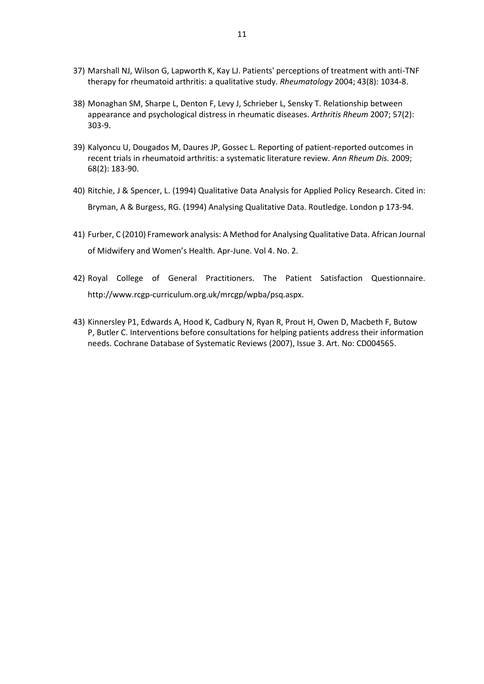- 37) Marshall NJ, Wilson G, Lapworth K, Kay LJ. Patients' perceptions of treatment with anti-TNF therapy for rheumatoid arthritis: a qualitative study. *Rheumatology* 2004; 43(8): 1034-8.
- 38) Monaghan SM, Sharpe L, Denton F, Levy J, Schrieber L, Sensky T. Relationship between appearance and psychological distress in rheumatic diseases. *Arthritis Rheum* 2007; 57(2): 303-9.
- 39) Kalyoncu U, Dougados M, Daures JP, Gossec L. Reporting of patient-reported outcomes in recent trials in rheumatoid arthritis: a systematic literature review. *Ann Rheum Dis.* 2009; 68(2): 183-90.
- 40) Ritchie, J & Spencer, L. (1994) Qualitative Data Analysis for Applied Policy Research. Cited in: Bryman, A & Burgess, RG. (1994) Analysing Qualitative Data. Routledge. London p 173-94.
- 41) Furber, C (2010) Framework analysis: A Method for Analysing Qualitative Data. African Journal of Midwifery and Women's Health. Apr-June. Vol 4. No. 2.
- 42) Royal College of General Practitioners. The Patient Satisfaction Questionnaire. http://www.rcgp-curriculum.org.uk/mrcgp/wpba/psq.aspx.
- 43) Kinnersley P1, Edwards A, Hood K, Cadbury N, Ryan R, Prout H, Owen D, Macbeth F, Butow P, Butler C. Interventions before consultations for helping patients address their information needs. Cochrane Database of Systematic Reviews (2007), Issue 3. Art. No: CD004565.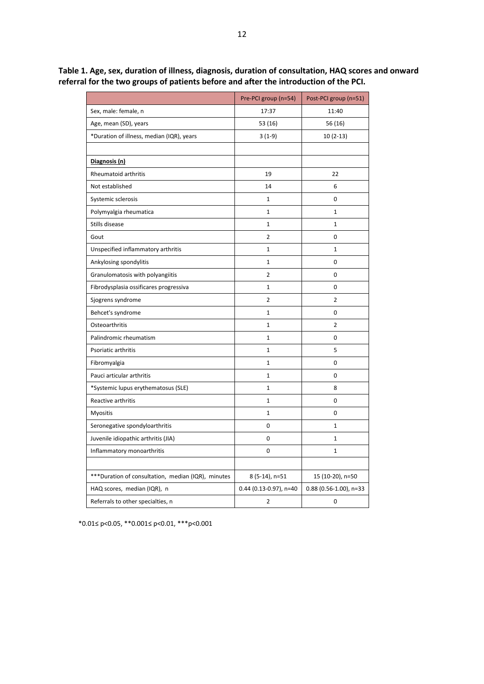|                                                     | Pre-PCI group (n=54)     | Post-PCI group (n=51)    |
|-----------------------------------------------------|--------------------------|--------------------------|
| Sex, male: female, n                                | 17:37                    | 11:40                    |
| Age, mean (SD), years                               | 53 (16)                  | 56 (16)                  |
| *Duration of illness, median (IQR), years           | $3(1-9)$                 | $10(2-13)$               |
|                                                     |                          |                          |
| Diagnosis (n)                                       |                          |                          |
| Rheumatoid arthritis                                | 19                       | 22                       |
| Not established                                     | 14                       | 6                        |
| Systemic sclerosis                                  | 1                        | 0                        |
| Polymyalgia rheumatica                              | 1                        | $\mathbf{1}$             |
| Stills disease                                      | $\mathbf{1}$             | $\mathbf{1}$             |
| Gout                                                | $\mathbf 2$              | $\Omega$                 |
| Unspecified inflammatory arthritis                  | 1                        | $\mathbf{1}$             |
| Ankylosing spondylitis                              | 1                        | $\mathbf 0$              |
| Granulomatosis with polyangiitis                    | 2                        | $\mathbf 0$              |
| Fibrodysplasia ossificares progressiva              | 1                        | 0                        |
| Sjogrens syndrome                                   | 2                        | $\overline{2}$           |
| Behcet's syndrome                                   | 1                        | 0                        |
| Osteoarthritis                                      | 1                        | $\overline{2}$           |
| Palindromic rheumatism                              | 1                        | $\mathbf 0$              |
| Psoriatic arthritis                                 | 1                        | 5                        |
| Fibromyalgia                                        | 1                        | 0                        |
| Pauci articular arthritis                           | 1                        | $\mathbf 0$              |
| *Systemic lupus erythematosus (SLE)                 | $\mathbf{1}$             | 8                        |
| Reactive arthritis                                  | $\mathbf{1}$             | $\mathbf 0$              |
| <b>Myositis</b>                                     | 1                        | 0                        |
| Seronegative spondyloarthritis                      | 0                        | $\mathbf{1}$             |
| Juvenile idiopathic arthritis (JIA)                 | $\mathbf 0$              | $\mathbf{1}$             |
| Inflammatory monoarthritis                          | $\mathbf 0$              | $\mathbf{1}$             |
|                                                     |                          |                          |
| *** Duration of consultation, median (IQR), minutes | 8 (5-14), n=51           | 15 (10-20), n=50         |
| HAQ scores, median (IQR), n                         | $0.44$ (0.13-0.97), n=40 | $0.88$ (0.56-1.00), n=33 |
| Referrals to other specialties, n                   | 2                        | 0                        |

**Table 1. Age, sex, duration of illness, diagnosis, duration of consultation, HAQ scores and onward referral for the two groups of patients before and after the introduction of the PCI.**

\*0.01≤ p<0.05, \*\*0.001≤ p<0.01, \*\*\*p<0.001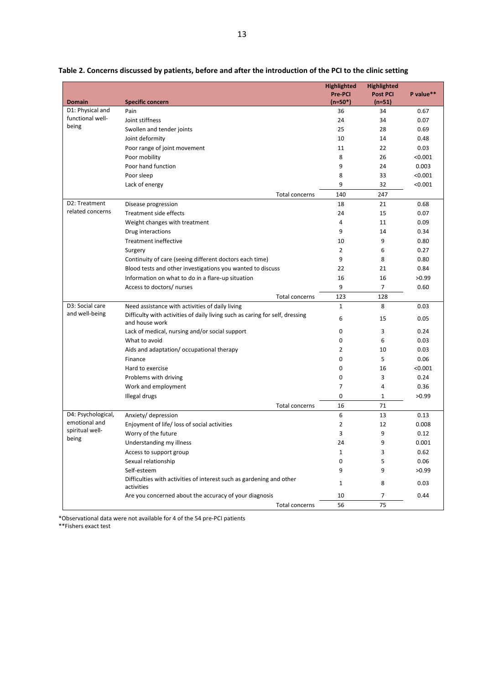|                          |                                                                                                | <b>Highlighted</b><br>Pre-PCI | <b>Highlighted</b><br><b>Post PCI</b> | P value** |
|--------------------------|------------------------------------------------------------------------------------------------|-------------------------------|---------------------------------------|-----------|
| <b>Domain</b>            | <b>Specific concern</b>                                                                        | $(n=50*)$                     | $(n=51)$                              |           |
| D1: Physical and         | Pain                                                                                           | 36                            | 34                                    | 0.67      |
| functional well-         | Joint stiffness                                                                                | 24                            | 34                                    | 0.07      |
| being                    | Swollen and tender joints                                                                      | 25                            | 28                                    | 0.69      |
|                          | Joint deformity                                                                                | 10                            | 14                                    | 0.48      |
|                          | Poor range of joint movement                                                                   | 11                            | 22                                    | 0.03      |
|                          | Poor mobility                                                                                  | 8                             | 26                                    | < 0.001   |
|                          | Poor hand function                                                                             | 9                             | 24                                    | 0.003     |
|                          | Poor sleep                                                                                     | 8                             | 33                                    | < 0.001   |
|                          | Lack of energy                                                                                 | 9                             | 32                                    | < 0.001   |
|                          | Total concerns                                                                                 | 140                           | 247                                   |           |
| D2: Treatment            | Disease progression                                                                            | 18                            | 21                                    | 0.68      |
| related concerns         | Treatment side effects                                                                         | 24                            | 15                                    | 0.07      |
|                          | Weight changes with treatment                                                                  | 4                             | 11                                    | 0.09      |
|                          | Drug interactions                                                                              | 9                             | 14                                    | 0.34      |
|                          | Treatment ineffective                                                                          | 10                            | 9                                     | 0.80      |
|                          | Surgery                                                                                        | $\overline{2}$                | 6                                     | 0.27      |
|                          | Continuity of care (seeing different doctors each time)                                        | 9                             | 8                                     | 0.80      |
|                          | Blood tests and other investigations you wanted to discuss                                     | 22                            | 21                                    | 0.84      |
|                          | Information on what to do in a flare-up situation                                              | 16                            | 16                                    | >0.99     |
|                          | Access to doctors/ nurses                                                                      | 9                             | 7                                     | 0.60      |
|                          | Total concerns                                                                                 | 123                           | 128                                   |           |
| D3: Social care          | Need assistance with activities of daily living                                                | $\mathbf{1}$                  | 8                                     | 0.03      |
| and well-being           | Difficulty with activities of daily living such as caring for self, dressing<br>and house work | 6                             | 15                                    | 0.05      |
|                          | Lack of medical, nursing and/or social support                                                 | 0                             | 3                                     | 0.24      |
|                          | What to avoid                                                                                  | 0                             | 6                                     | 0.03      |
|                          | Aids and adaptation/ occupational therapy                                                      | 2                             | 10                                    | 0.03      |
|                          | Finance                                                                                        | 0                             | 5                                     | 0.06      |
|                          | Hard to exercise                                                                               | 0                             | 16                                    | < 0.001   |
|                          | Problems with driving                                                                          | 0                             | 3                                     | 0.24      |
|                          | Work and employment                                                                            | 7                             | 4                                     | 0.36      |
|                          | Illegal drugs                                                                                  | 0                             | $\mathbf{1}$                          | >0.99     |
|                          | <b>Total concerns</b>                                                                          | 16                            | 71                                    |           |
| D4: Psychological,       | Anxiety/ depression                                                                            | 6                             | 13                                    | 0.13      |
| emotional and            | Enjoyment of life/ loss of social activities                                                   | 2                             | 12                                    | 0.008     |
| spiritual well-<br>being | Worry of the future                                                                            | 3                             | 9                                     | 0.12      |
|                          | Understanding my illness                                                                       | 24                            | $\mathbf{q}$                          | 0.001     |
|                          | Access to support group                                                                        | $\mathbf{1}$                  | 3                                     | 0.62      |
|                          | Sexual relationship                                                                            | 0                             | 5                                     | 0.06      |
|                          | Self-esteem                                                                                    | 9                             | 9                                     | >0.99     |
|                          | Difficulties with activities of interest such as gardening and other<br>activities             | 1                             | 8                                     | 0.03      |
|                          | Are you concerned about the accuracy of your diagnosis                                         | 10                            | 7                                     | 0.44      |
|                          | <b>Total concerns</b>                                                                          | 56                            | 75                                    |           |

**Table 2. Concerns discussed by patients, before and after the introduction of the PCI to the clinic setting**

\*Observational data were not available for 4 of the 54 pre-PCI patients

\*\*Fishers exact test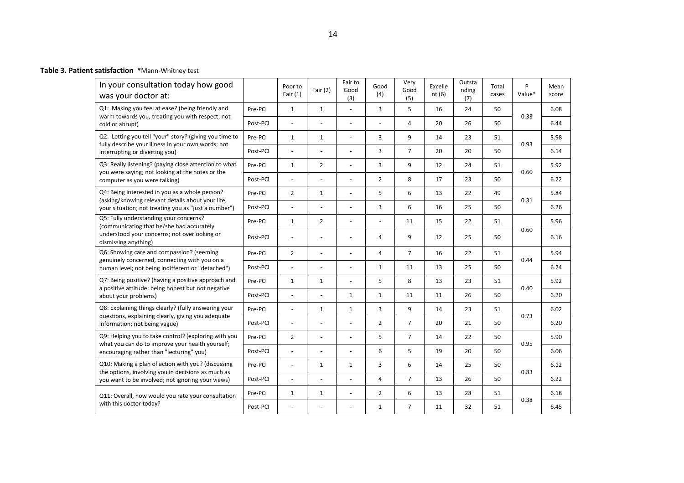| Table 3. Patient satisfaction *Mann-Whitney test |  |
|--------------------------------------------------|--|

| In your consultation today how good<br>was your doctor at:                                                                                                    |          | Poor to<br>Fair $(1)$ | Fair $(2)$               | Fair to<br>Good<br>(3)   | Good<br>(4)    | Very<br>Good<br>(5) | Excelle<br>nt(6) | Outsta<br>nding<br>(7) | Total<br>cases | P<br>Value* | Mean<br>score |
|---------------------------------------------------------------------------------------------------------------------------------------------------------------|----------|-----------------------|--------------------------|--------------------------|----------------|---------------------|------------------|------------------------|----------------|-------------|---------------|
| Q1: Making you feel at ease? (being friendly and<br>warm towards you, treating you with respect; not                                                          | Pre-PCI  | $\mathbf{1}$          | $\mathbf{1}$             | ÷.                       | 3              | 5                   | 16               | 24                     | 50             | 0.33        | 6.08          |
| cold or abrupt)                                                                                                                                               | Post-PCI | $\sim$                |                          |                          |                | 4                   | 20               | 26                     | 50             |             | 6.44          |
| Q2: Letting you tell "your" story? (giving you time to<br>fully describe your illness in your own words; not                                                  | Pre-PCI  | $\mathbf{1}$          | $\mathbf{1}$             | ÷.                       | 3              | 9                   | 14               | 23                     | 51             | 0.93        | 5.98          |
| interrupting or diverting you)                                                                                                                                | Post-PCI | $\overline{a}$        | ÷,                       | ÷.                       | 3              | $\overline{7}$      | 20               | 20                     | 50             |             | 6.14          |
| Q3: Really listening? (paying close attention to what<br>you were saying; not looking at the notes or the                                                     | Pre-PCI  | $\mathbf{1}$          | $\overline{2}$           | $\overline{\phantom{a}}$ | 3              | 9                   | 12               | 24                     | 51             | 0.60        | 5.92          |
| computer as you were talking)                                                                                                                                 | Post-PCI | $\mathbb{L}$          | $\overline{\phantom{a}}$ | ÷,                       | $\overline{2}$ | 8                   | 17               | 23                     | 50             |             | 6.22          |
| Q4: Being interested in you as a whole person?<br>(asking/knowing relevant details about your life,                                                           | Pre-PCI  | $\overline{2}$        | $\mathbf{1}$             | $\omega$                 | 5              | 6                   | 13               | 22                     | 49             | 0.31        | 5.84          |
| your situation; not treating you as "just a number")                                                                                                          | Post-PCI | $\overline{a}$        | ÷,                       | L.                       | 3              | 6                   | 16               | 25                     | 50             |             | 6.26          |
| Q5: Fully understanding your concerns?<br>(communicating that he/she had accurately                                                                           | Pre-PCI  | $\mathbf{1}$          | $\overline{2}$           | L.                       |                | 11                  | 15               | 22                     | 51             |             | 5.96          |
| understood your concerns; not overlooking or<br>dismissing anything)                                                                                          | Post-PCI | $\blacksquare$        | $\sim$                   |                          | 4              | 9                   | 12               | 25                     | 50             | 0.60        | 6.16          |
| Q6: Showing care and compassion? (seeming                                                                                                                     | Pre-PCI  | $\overline{2}$        | $\overline{\phantom{a}}$ |                          | 4              | $\overline{7}$      | 16               | 22                     | 51             | 0.44        | 5.94          |
| genuinely concerned, connecting with you on a<br>human level; not being indifferent or "detached")                                                            | Post-PCI | $\blacksquare$        | $\overline{\phantom{a}}$ | L,                       | $\mathbf{1}$   | 11                  | 13               | 25                     | 50             |             | 6.24          |
| Q7: Being positive? (having a positive approach and<br>a positive attitude; being honest but not negative                                                     | Pre-PCI  | $\mathbf{1}$          | $\mathbf{1}$             | L,                       | 5              | 8                   | 13               | 23                     | 51             | 0.40        | 5.92          |
| about your problems)                                                                                                                                          | Post-PCI | $\mathbb{L}$          | ÷,                       | $\mathbf{1}$             | $\mathbf{1}$   | 11                  | 11               | 26                     | 50             |             | 6.20          |
| Q8: Explaining things clearly? (fully answering your<br>questions, explaining clearly, giving you adequate                                                    | Pre-PCI  | $\blacksquare$        | $\mathbf{1}$             | $\mathbf{1}$             | 3              | 9                   | 14               | 23                     | 51             |             | 6.02          |
| information; not being vague)                                                                                                                                 | Post-PCI | $\blacksquare$        | ÷,                       | $\omega$                 | $\overline{2}$ | $\overline{7}$      | 20               | 21                     | 50             | 0.73        | 6.20          |
| Q9: Helping you to take control? (exploring with you                                                                                                          | Pre-PCI  | $\overline{2}$        | $\sim$                   | $\overline{\phantom{a}}$ | 5              | $\overline{7}$      | 14               | 22                     | 50             | 0.95        | 5.90          |
| what you can do to improve your health yourself;<br>encouraging rather than "lecturing" you)                                                                  | Post-PCI | $\sim$                | $\overline{\phantom{a}}$ | ÷.                       | 6              | 5                   | 19               | 20                     | 50             |             | 6.06          |
| Q10: Making a plan of action with you? (discussing<br>the options, involving you in decisions as much as<br>you want to be involved; not ignoring your views) | Pre-PCI  | $\sim$                | $\mathbf{1}$             | $\mathbf{1}$             | 3              | 6                   | 14               | 25                     | 50             | 0.83        | 6.12          |
|                                                                                                                                                               | Post-PCI | $\sim$                |                          | L,                       | 4              | $\overline{7}$      | 13               | 26                     | 50             |             | 6.22          |
| Q11: Overall, how would you rate your consultation                                                                                                            | Pre-PCI  | $\mathbf{1}$          | $\mathbf{1}$             | L,                       | $\overline{2}$ | 6                   | 13               | 28                     | 51             | 0.38        | 6.18          |
| with this doctor today?                                                                                                                                       | Post-PCI |                       |                          |                          | $\mathbf{1}$   | $\overline{7}$      | 11               | 32                     | 51             |             | 6.45          |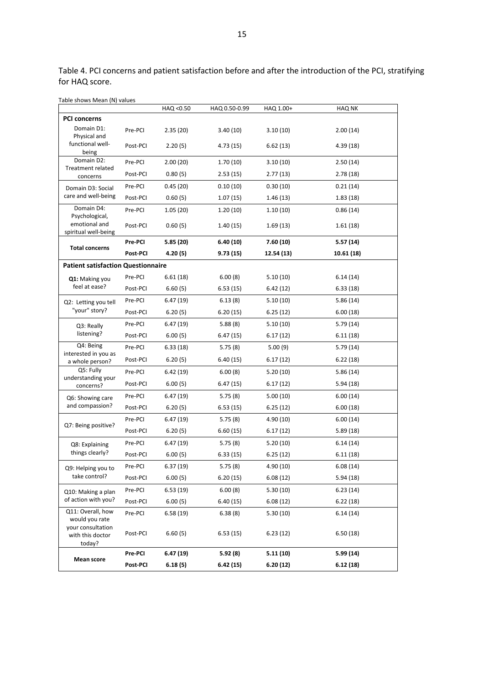Table 4. PCI concerns and patient satisfaction before and after the introduction of the PCI, stratifying for HAQ score.

| Table shows Mean (N) values                     |          |           |               |            |               |
|-------------------------------------------------|----------|-----------|---------------|------------|---------------|
| <b>PCI concerns</b>                             |          | HAQ <0.50 | HAQ 0.50-0.99 | HAQ 1.00+  | <b>HAQ NK</b> |
| Domain D1:                                      | Pre-PCI  | 2.35(20)  | 3.40(10)      | 3.10(10)   | 2.00(14)      |
| Physical and                                    |          |           |               |            |               |
| functional well-<br>being                       | Post-PCI | 2.20(5)   | 4.73 (15)     | 6.62(13)   | 4.39(18)      |
| Domain D2:<br><b>Treatment related</b>          | Pre-PCI  | 2.00(20)  | 1.70(10)      | 3.10(10)   | 2.50(14)      |
| concerns                                        | Post-PCI | 0.80(5)   | 2.53(15)      | 2.77(13)   | 2.78(18)      |
| Domain D3: Social                               | Pre-PCI  | 0.45(20)  | 0.10(10)      | 0.30(10)   | 0.21(14)      |
| care and well-being                             | Post-PCI | 0.60(5)   | 1.07(15)      | 1.46(13)   | 1.83(18)      |
| Domain D4:<br>Psychological,                    | Pre-PCI  | 1.05(20)  | 1.20(10)      | 1.10(10)   | 0.86(14)      |
| emotional and<br>spiritual well-being           | Post-PCI | 0.60(5)   | 1.40(15)      | 1.69(13)   | 1.61(18)      |
| <b>Total concerns</b>                           | Pre-PCI  | 5.85(20)  | 6.40(10)      | 7.60(10)   | 5.57(14)      |
|                                                 | Post-PCI | 4.20(5)   | 9.73(15)      | 12.54 (13) | 10.61 (18)    |
| <b>Patient satisfaction Questionnaire</b>       |          |           |               |            |               |
| Q1: Making you                                  | Pre-PCI  | 6.61(18)  | 6.00(8)       | 5.10(10)   | 6.14(14)      |
| feel at ease?                                   | Post-PCI | 6.60(5)   | 6.53(15)      | 6.42(12)   | 6.33(18)      |
| Q2: Letting you tell                            | Pre-PCI  | 6.47(19)  | 6.13(8)       | 5.10(10)   | 5.86(14)      |
| "your" story?                                   | Post-PCI | 6.20(5)   | 6.20(15)      | 6.25(12)   | 6.00(18)      |
| Q3: Really<br>listening?                        | Pre-PCI  | 6.47(19)  | 5.88(8)       | 5.10(10)   | 5.79(14)      |
|                                                 | Post-PCI | 6.00(5)   | 6.47 (15)     | 6.17(12)   | 6.11(18)      |
| Q4: Being                                       | Pre-PCI  | 6.33(18)  | 5.75(8)       | 5.00(9)    | 5.79(14)      |
| interested in you as<br>a whole person?         | Post-PCI | 6.20(5)   | 6.40(15)      | 6.17(12)   | 6.22(18)      |
| Q5: Fully                                       | Pre-PCI  | 6.42(19)  | 6.00(8)       | 5.20(10)   | 5.86(14)      |
| understanding your<br>concerns?                 | Post-PCI | 6.00(5)   | 6.47(15)      | 6.17(12)   | 5.94(18)      |
| Q6: Showing care                                | Pre-PCI  | 6.47(19)  | 5.75(8)       | 5.00(10)   | 6.00(14)      |
| and compassion?                                 | Post-PCI | 6.20(5)   | 6.53(15)      | 6.25(12)   | 6.00(18)      |
|                                                 | Pre-PCI  | 6.47(19)  | 5.75(8)       | 4.90 (10)  | 6.00(14)      |
| Q7: Being positive?                             | Post-PCI | 6.20(5)   | 6.60(15)      | 6.17(12)   | 5.89(18)      |
| Q8: Explaining                                  | Pre-PCI  | 6.47(19)  | 5.75(8)       | 5.20(10)   | 6.14(14)      |
| things clearly?                                 | Post-PCI | 6.00(5)   | 6.33(15)      | 6.25(12)   | 6.11(18)      |
| Q9: Helping you to                              | Pre-PCI  | 6.37(19)  | 5.75(8)       | 4.90(10)   | 6.08(14)      |
| take control?                                   | Post-PCI | 6.00(5)   | 6.20(15)      | 6.08(12)   | 5.94(18)      |
| Q10: Making a plan<br>of action with you?       | Pre-PCI  | 6.53 (19) | 6.00(8)       | 5.30(10)   | 6.23(14)      |
|                                                 | Post-PCI | 6.00(5)   | 6.40 (15)     | 6.08(12)   | 6.22(18)      |
| Q11: Overall, how<br>would you rate             | Pre-PCI  | 6.58(19)  | 6.38(8)       | 5.30(10)   | 6.14(14)      |
| your consultation<br>with this doctor<br>today? | Post-PCI | 6.60(5)   | 6.53(15)      | 6.23(12)   | 6.50(18)      |
| Mean score                                      | Pre-PCI  | 6.47(19)  | 5.92(8)       | 5.11(10)   | 5.99(14)      |
|                                                 | Post-PCI | 6.18(5)   | 6.42 (15)     | 6.20(12)   | 6.12(18)      |